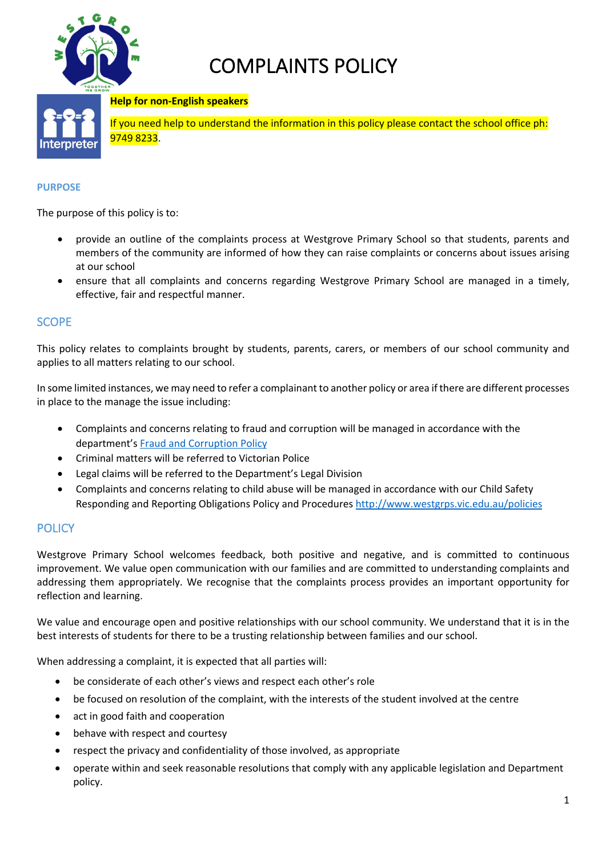

# COMPLAINTS POLICY

### **Help for non-English speakers**



If you need help to understand the information in this policy please contact the school office ph: 9749 8233.

#### **PURPOSE**

The purpose of this policy is to:

- provide an outline of the complaints process at Westgrove Primary School so that students, parents and members of the community are informed of how they can raise complaints or concerns about issues arising at our school
- ensure that all complaints and concerns regarding Westgrove Primary School are managed in a timely, effective, fair and respectful manner.

# **SCOPE**

This policy relates to complaints brought by students, parents, carers, or members of our school community and applies to all matters relating to our school.

In some limited instances, we may need to refer a complainant to another policy or area if there are different processes in place to the manage the issue including:

- Complaints and concerns relating to fraud and corruption will be managed in accordance with the department's Fraud and Corruption Policy
- Criminal matters will be referred to Victorian Police
- Legal claims will be referred to the Department's Legal Division
- Complaints and concerns relating to child abuse will be managed in accordance with our Child Safety Responding and Reporting Obligations Policy and Procedures http://www.westgrps.vic.edu.au/policies

## **POLICY**

Westgrove Primary School welcomes feedback, both positive and negative, and is committed to continuous improvement. We value open communication with our families and are committed to understanding complaints and addressing them appropriately. We recognise that the complaints process provides an important opportunity for reflection and learning.

We value and encourage open and positive relationships with our school community. We understand that it is in the best interests of students for there to be a trusting relationship between families and our school.

When addressing a complaint, it is expected that all parties will:

- be considerate of each other's views and respect each other's role
- be focused on resolution of the complaint, with the interests of the student involved at the centre
- act in good faith and cooperation
- behave with respect and courtesy
- respect the privacy and confidentiality of those involved, as appropriate
- operate within and seek reasonable resolutions that comply with any applicable legislation and Department policy.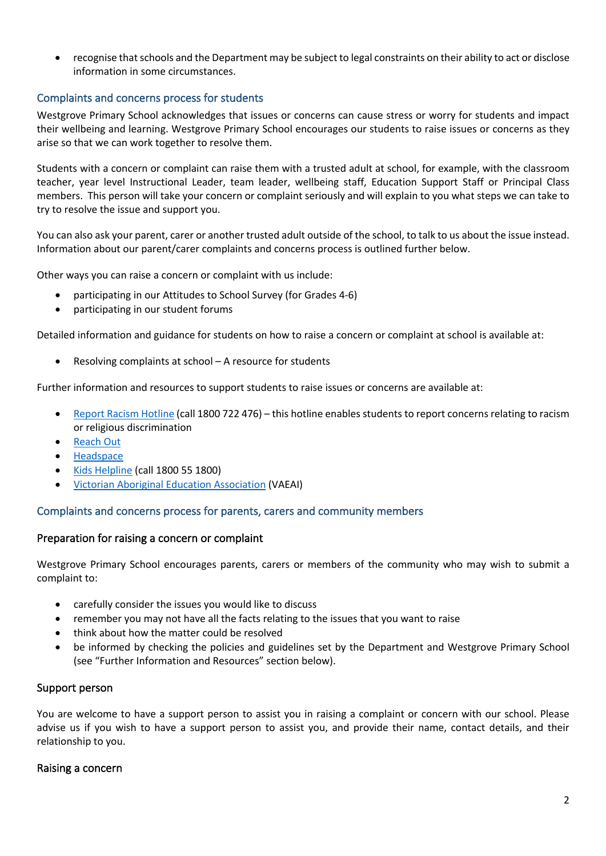• recognise that schools and the Department may be subject to legal constraints on their ability to act or disclose information in some circumstances.

## Complaints and concerns process for students

Westgrove Primary School acknowledges that issues or concerns can cause stress or worry for students and impact their wellbeing and learning. Westgrove Primary School encourages our students to raise issues or concerns as they arise so that we can work together to resolve them.

Students with a concern or complaint can raise them with a trusted adult at school, for example, with the classroom teacher, year level Instructional Leader, team leader, wellbeing staff, Education Support Staff or Principal Class members. This person will take your concern or complaint seriously and will explain to you what steps we can take to try to resolve the issue and support you.

You can also ask your parent, carer or another trusted adult outside of the school, to talk to us about the issue instead. Information about our parent/carer complaints and concerns process is outlined further below.

Other ways you can raise a concern or complaint with us include:

- participating in our Attitudes to School Survey (for Grades 4-6)
- participating in our student forums

Detailed information and guidance for students on how to raise a concern or complaint at school is available at:

• Resolving complaints at school – A resource for students

Further information and resources to support students to raise issues or concerns are available at:

- Report Racism Hotline (call 1800 722 476) this hotline enables students to report concerns relating to racism or religious discrimination
- Reach Out
- Headspace
- Kids Helpline (call 1800 55 1800)
- Victorian Aboriginal Education Association (VAEAI)

## Complaints and concerns process for parents, carers and community members

#### Preparation for raising a concern or complaint

Westgrove Primary School encourages parents, carers or members of the community who may wish to submit a complaint to:

- carefully consider the issues you would like to discuss
- remember you may not have all the facts relating to the issues that you want to raise
- think about how the matter could be resolved
- be informed by checking the policies and guidelines set by the Department and Westgrove Primary School (see "Further Information and Resources" section below).

## Support person

You are welcome to have a support person to assist you in raising a complaint or concern with our school. Please advise us if you wish to have a support person to assist you, and provide their name, contact details, and their relationship to you.

#### Raising a concern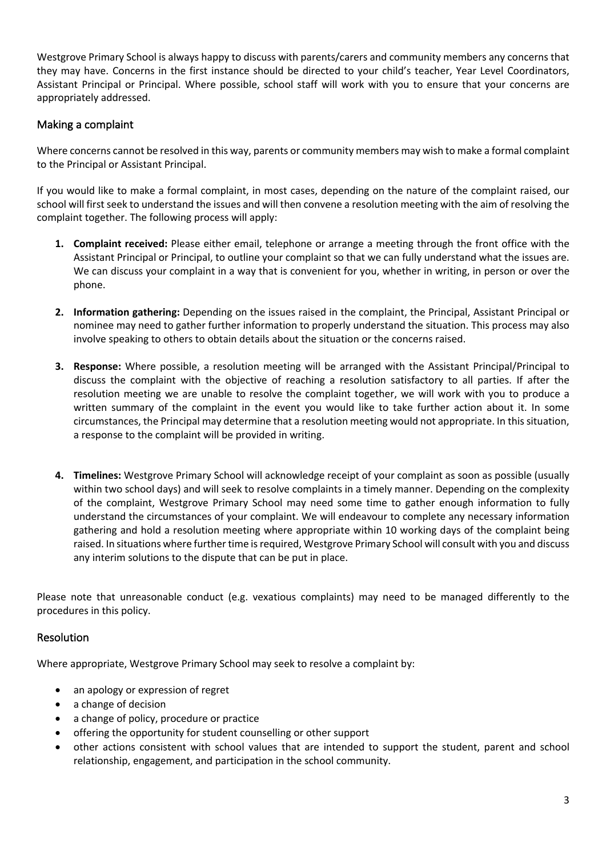Westgrove Primary School is always happy to discuss with parents/carers and community members any concerns that they may have. Concerns in the first instance should be directed to your child's teacher, Year Level Coordinators, Assistant Principal or Principal. Where possible, school staff will work with you to ensure that your concerns are appropriately addressed.

# Making a complaint

Where concerns cannot be resolved in this way, parents or community members may wish to make a formal complaint to the Principal or Assistant Principal.

If you would like to make a formal complaint, in most cases, depending on the nature of the complaint raised, our school will first seek to understand the issues and will then convene a resolution meeting with the aim of resolving the complaint together. The following process will apply:

- **1. Complaint received:** Please either email, telephone or arrange a meeting through the front office with the Assistant Principal or Principal, to outline your complaint so that we can fully understand what the issues are. We can discuss your complaint in a way that is convenient for you, whether in writing, in person or over the phone.
- **2. Information gathering:** Depending on the issues raised in the complaint, the Principal, Assistant Principal or nominee may need to gather further information to properly understand the situation. This process may also involve speaking to others to obtain details about the situation or the concerns raised.
- **3. Response:** Where possible, a resolution meeting will be arranged with the Assistant Principal/Principal to discuss the complaint with the objective of reaching a resolution satisfactory to all parties. If after the resolution meeting we are unable to resolve the complaint together, we will work with you to produce a written summary of the complaint in the event you would like to take further action about it. In some circumstances, the Principal may determine that a resolution meeting would not appropriate. In this situation, a response to the complaint will be provided in writing.
- **4. Timelines:** Westgrove Primary School will acknowledge receipt of your complaint as soon as possible (usually within two school days) and will seek to resolve complaints in a timely manner. Depending on the complexity of the complaint, Westgrove Primary School may need some time to gather enough information to fully understand the circumstances of your complaint. We will endeavour to complete any necessary information gathering and hold a resolution meeting where appropriate within 10 working days of the complaint being raised. In situations where further time is required, Westgrove Primary School will consult with you and discuss any interim solutions to the dispute that can be put in place.

Please note that unreasonable conduct (e.g. vexatious complaints) may need to be managed differently to the procedures in this policy.

# Resolution

Where appropriate, Westgrove Primary School may seek to resolve a complaint by:

- an apology or expression of regret
- a change of decision
- a change of policy, procedure or practice
- offering the opportunity for student counselling or other support
- other actions consistent with school values that are intended to support the student, parent and school relationship, engagement, and participation in the school community.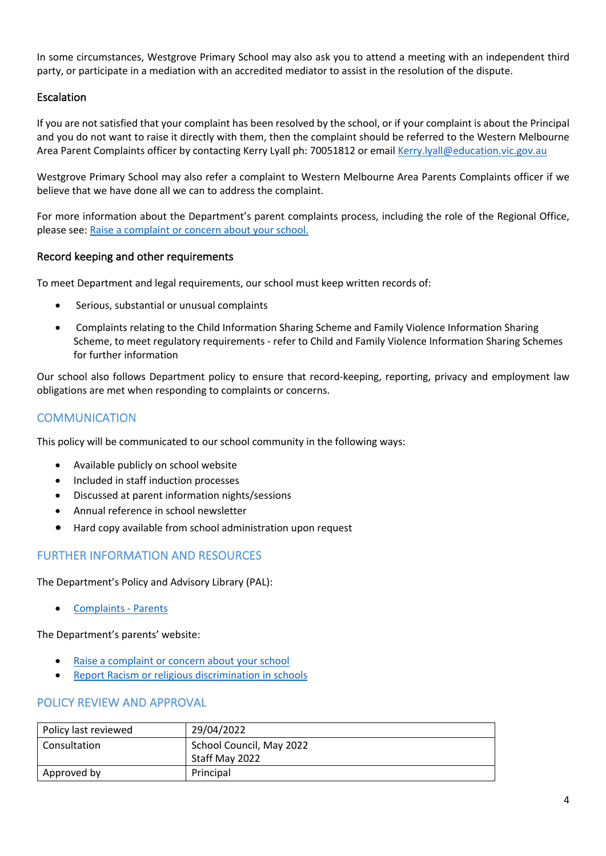In some circumstances, Westgrove Primary School may also ask you to attend a meeting with an independent third party, or participate in a mediation with an accredited mediator to assist in the resolution of the dispute.

# Escalation

If you are not satisfied that your complaint has been resolved by the school, or if your complaint is about the Principal and you do not want to raise it directly with them, then the complaint should be referred to the Western Melbourne Area Parent Complaints officer by contacting Kerry Lyall ph: 70051812 or email Kerry.lyall@education.vic.gov.au

Westgrove Primary School may also refer a complaint to Western Melbourne Area Parents Complaints officer if we believe that we have done all we can to address the complaint.

For more information about the Department's parent complaints process, including the role of the Regional Office, please see: Raise a complaint or concern about your school.

## Record keeping and other requirements

To meet Department and legal requirements, our school must keep written records of:

- Serious, substantial or unusual complaints
- Complaints relating to the Child Information Sharing Scheme and Family Violence Information Sharing Scheme, to meet regulatory requirements - refer to Child and Family Violence Information Sharing Schemes for further information

Our school also follows Department policy to ensure that record-keeping, reporting, privacy and employment law obligations are met when responding to complaints or concerns.

# **COMMUNICATION**

This policy will be communicated to our school community in the following ways:

- Available publicly on school website
- Included in staff induction processes
- Discussed at parent information nights/sessions
- Annual reference in school newsletter
- Hard copy available from school administration upon request

# FURTHER INFORMATION AND RESOURCES

The Department's Policy and Advisory Library (PAL):

• Complaints - Parents

The Department's parents' website:

- Raise a complaint or concern about your school
- Report Racism or religious discrimination in schools

## POLICY REVIEW AND APPROVAL

| Policy last reviewed | 29/04/2022                                 |
|----------------------|--------------------------------------------|
| Consultation         | School Council, May 2022<br>Staff May 2022 |
| Approved by          | Principal                                  |